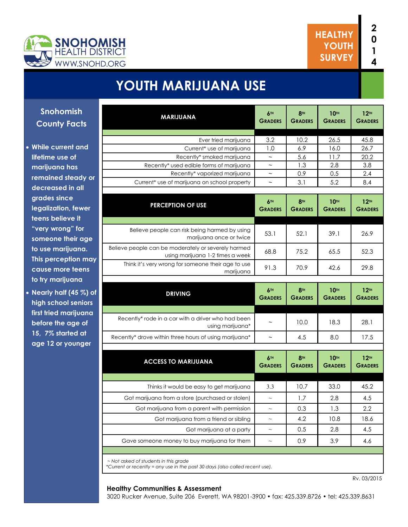



## **YOUTH MARIJUANA USE**

| <b>MARIJUANA</b>                                                                        | 6TH<br><b>GRADERS</b>     | 8 <sup>TH</sup><br><b>GRADERS</b> | <b>10TH</b><br><b>GRADERS</b>      | 12 <sup>TH</sup><br><b>GRADERS</b>         |
|-----------------------------------------------------------------------------------------|---------------------------|-----------------------------------|------------------------------------|--------------------------------------------|
|                                                                                         |                           |                                   |                                    |                                            |
| Ever tried marijuana<br>Current* use of marijuana                                       | 3.2<br>1.0                | 10.2<br>6.9                       | 26.5<br>16.0                       | 45.8<br>26.7                               |
| Recently* smoked marijuana                                                              | $\widetilde{\phantom{m}}$ | 5.6                               | 11.7                               | 20.2                                       |
| Recently* used edible forms of marijuana                                                | $\widetilde{\phantom{m}}$ | 1.3                               | 2.8                                | 3.8                                        |
| Recently* vaporized marijuana                                                           | $\sim$                    | 0.9                               | 0.5                                | 2.4                                        |
| Current* use of marijuana on school property                                            | $\tilde{}$                | 3.1                               | 5.2                                | 8.4                                        |
|                                                                                         |                           |                                   |                                    |                                            |
| <b>PERCEPTION OF USE</b>                                                                | 6TH<br><b>GRADERS</b>     | 8 <sup>TH</sup><br><b>GRADERS</b> | <b>10TH</b><br><b>GRADERS</b>      | 12 <sup>TH</sup><br><b>GRADERS</b>         |
| Believe people can risk being harmed by using<br>marijuana once or twice                | 53.1                      | 52.1                              | 39.1                               | 26.9                                       |
| Believe people can be moderately or severely harmed<br>using marijuana 1-2 times a week | 68.8                      | 75.2                              | 65.5                               | 52.3                                       |
| Think it's very wrong for someone their age to use<br>marijuana                         | 91.3                      | 70.9                              | 42.6                               | 29.8                                       |
| <b>DRIVING</b>                                                                          | 6TH                       | 8 <sup>TH</sup>                   | 10 <sup>TH</sup>                   | 12 <sup>TH</sup>                           |
|                                                                                         | <b>GRADERS</b>            | <b>GRADERS</b>                    | <b>GRADERS</b>                     | <b>GRADERS</b>                             |
|                                                                                         |                           |                                   |                                    |                                            |
| Recently* rode in a car with a driver who had been<br>using marijuana*                  | $\widetilde{\phantom{m}}$ | 10.0                              | 18.3                               | 28.1                                       |
| Recently* drove within three hours of using marijuana*                                  | $\sim$                    | 4.5                               | 8.0                                | 17.5                                       |
|                                                                                         |                           |                                   |                                    |                                            |
| <b>ACCESS TO MARIJUANA</b>                                                              | 6TH<br><b>GRADERS</b>     | 8 <sup>TH</sup><br><b>GRADERS</b> | 10 <sup>TH</sup><br><b>GRADERS</b> |                                            |
| Thinks it would be easy to get marijuana                                                | 3.3                       | 10.7                              | 33.0                               | 12 <sup>TH</sup><br><b>GRADERS</b><br>45.2 |
|                                                                                         | $\sim$                    |                                   |                                    |                                            |
| Got marijuana from a store (purchased or stolen)                                        |                           | 1.7                               | 2.8                                | 4.5                                        |
| Got marijuana from a parent with permission                                             | $\thicksim$               | 0.3                               | 1.3                                | 2.2                                        |
| Got marijuana from a friend or sibling                                                  | $\sim$                    | 4.2                               | 10.8                               |                                            |
| Got marijuana at a party<br>Gave someone money to buy marijuana for them                | $\sim$                    | 0.5<br>0.9                        | 2.8<br>3.9                         | 18.6<br>4.5<br>4.6                         |

#### **Snohom County F**

- **while current lifetime use of marijuana** he **remained ste** decreased in **grades since**  legalization, teens believ "very wrong someone the to use mariju **This percepti** cause more to try marijua
- **Nearly half (** high school **first tried may before the a 15, 7% started** age 12 or yo

Rv. 03/2015

#### **Healthy Communities & Assessment**

3020 Rucker Avenue, Suite 206 Everett, WA 98201-3900 • fax: 425.339.8726 • tel: 425.339.8631